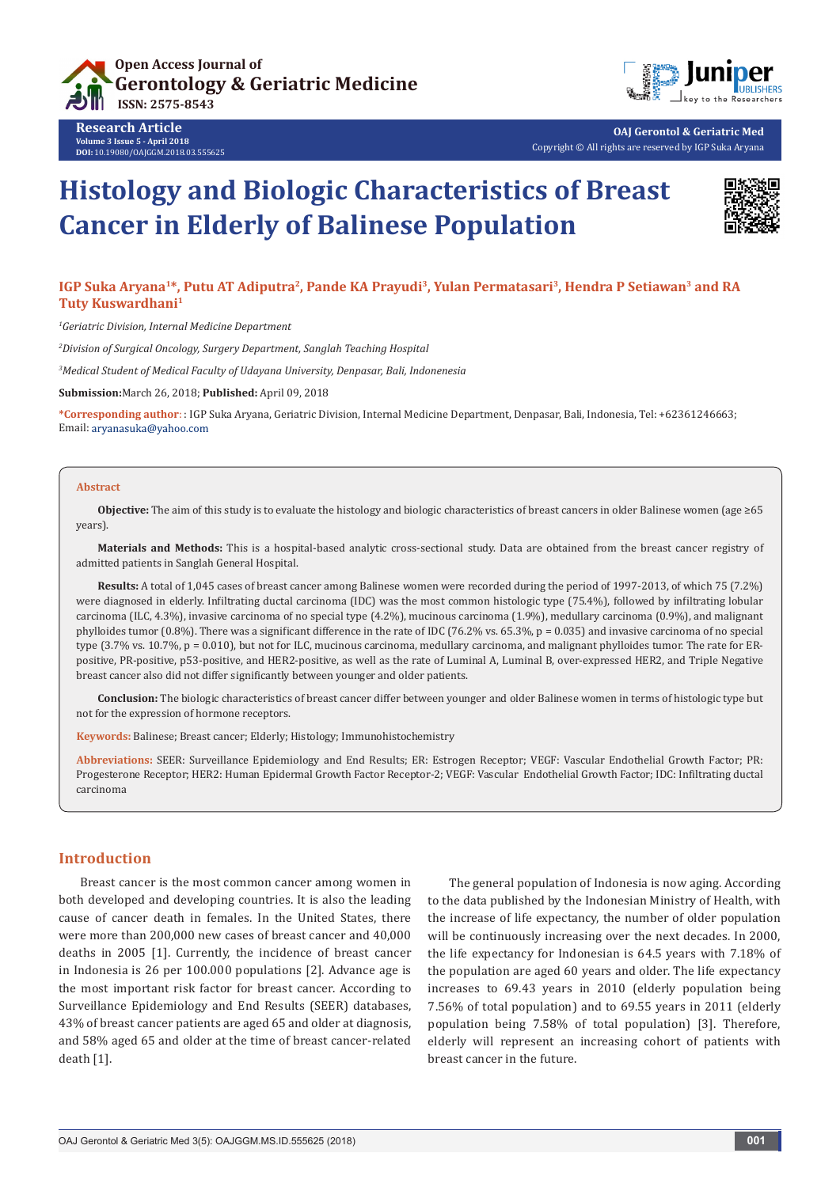





**OAJ Gerontol & Geriatric Med** Copyright © All rights are reserved by IGP Suka Aryana

# **Histology and Biologic Characteristics of Breast Cancer in Elderly of Balinese Population**



# IGP Suka Aryana<sup>1\*</sup>, Putu AT Adiputra<sup>2</sup>, Pande KA Prayudi<sup>3</sup>, Yulan Permatasari<sup>3</sup>, Hendra P Setiawan<sup>3</sup> and RA **Tuty Kuswardhani1**

*1 Geriatric Division, Internal Medicine Department*

*2 Division of Surgical Oncology, Surgery Department, Sanglah Teaching Hospital*

*3 Medical Student of Medical Faculty of Udayana University, Denpasar, Bali, Indonenesia*

**Submission:**March 26, 2018; **Published:** April 09, 2018

**\*Corresponding author**: : IGP Suka Aryana, Geriatric Division, Internal Medicine Department, Denpasar, Bali, Indonesia, Tel: +62361246663; Email: aryanasuka@yahoo.com

#### **Abstract**

**Objective:** The aim of this study is to evaluate the histology and biologic characteristics of breast cancers in older Balinese women (age ≥65 years).

**Materials and Methods:** This is a hospital-based analytic cross-sectional study. Data are obtained from the breast cancer registry of admitted patients in Sanglah General Hospital.

**Results:** A total of 1,045 cases of breast cancer among Balinese women were recorded during the period of 1997-2013, of which 75 (7.2%) were diagnosed in elderly. Infiltrating ductal carcinoma (IDC) was the most common histologic type (75.4%), followed by infiltrating lobular carcinoma (ILC, 4.3%), invasive carcinoma of no special type (4.2%), mucinous carcinoma (1.9%), medullary carcinoma (0.9%), and malignant phylloides tumor (0.8%). There was a significant difference in the rate of IDC (76.2% vs. 65.3%, p = 0.035) and invasive carcinoma of no special type  $(3.7\%$  vs.  $10.7\%$ , p = 0.010), but not for ILC, mucinous carcinoma, medullary carcinoma, and malignant phylloides tumor. The rate for ERpositive, PR-positive, p53-positive, and HER2-positive, as well as the rate of Luminal A, Luminal B, over-expressed HER2, and Triple Negative breast cancer also did not differ significantly between younger and older patients.

**Conclusion:** The biologic characteristics of breast cancer differ between younger and older Balinese women in terms of histologic type but not for the expression of hormone receptors.

**Keywords:** Balinese; Breast cancer; Elderly; Histology; Immunohistochemistry

**Abbreviations:** SEER: Surveillance Epidemiology and End Results; ER: Estrogen Receptor; VEGF: Vascular Endothelial Growth Factor; PR: Progesterone Receptor; HER2: Human Epidermal Growth Factor Receptor-2; VEGF: Vascular Endothelial Growth Factor; IDC: Infiltrating ductal carcinoma

## **Introduction**

Breast cancer is the most common cancer among women in both developed and developing countries. It is also the leading cause of cancer death in females. In the United States, there were more than 200,000 new cases of breast cancer and 40,000 deaths in 2005 [1]. Currently, the incidence of breast cancer in Indonesia is 26 per 100.000 populations [2]. Advance age is the most important risk factor for breast cancer. According to Surveillance Epidemiology and End Results (SEER) databases, 43% of breast cancer patients are aged 65 and older at diagnosis, and 58% aged 65 and older at the time of breast cancer-related death [1].

The general population of Indonesia is now aging. According to the data published by the Indonesian Ministry of Health, with the increase of life expectancy, the number of older population will be continuously increasing over the next decades. In 2000, the life expectancy for Indonesian is 64.5 years with 7.18% of the population are aged 60 years and older. The life expectancy increases to 69.43 years in 2010 (elderly population being 7.56% of total population) and to 69.55 years in 2011 (elderly population being 7.58% of total population) [3]. Therefore, elderly will represent an increasing cohort of patients with breast cancer in the future.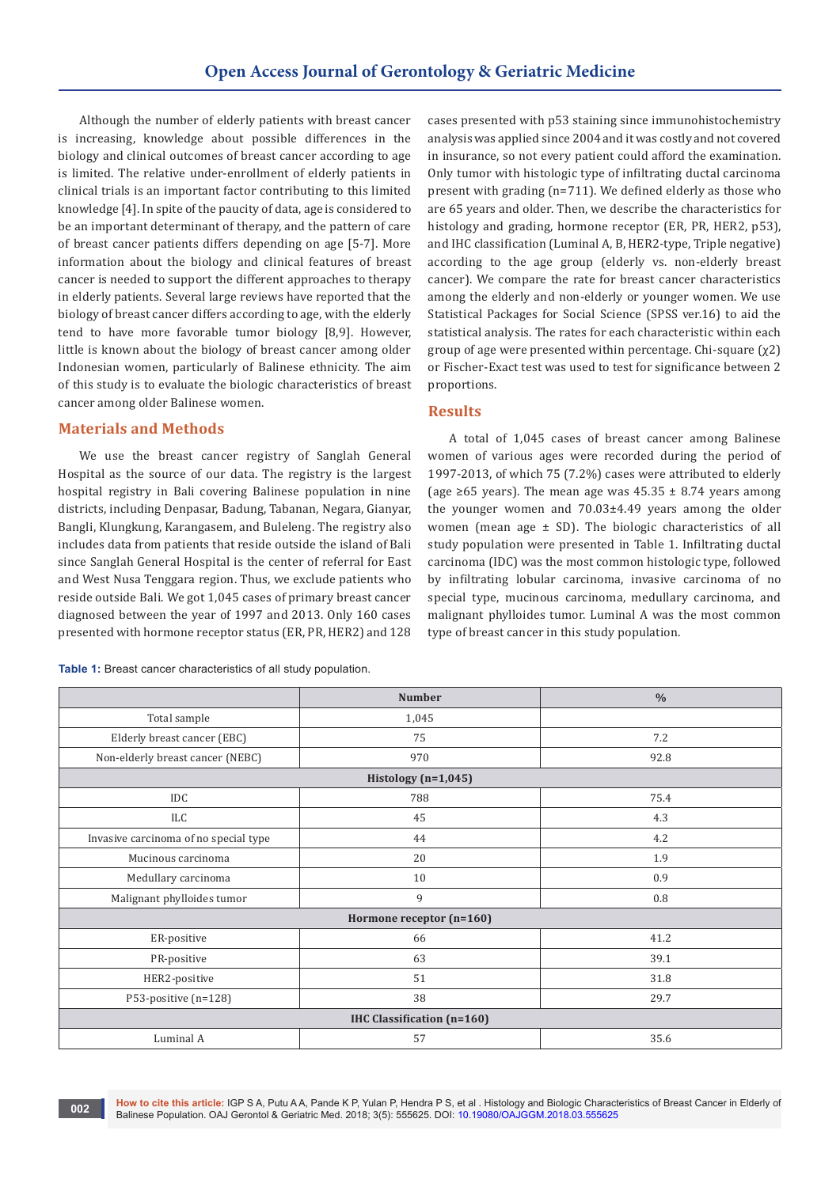Although the number of elderly patients with breast cancer is increasing, knowledge about possible differences in the biology and clinical outcomes of breast cancer according to age is limited. The relative under-enrollment of elderly patients in clinical trials is an important factor contributing to this limited knowledge [4]. In spite of the paucity of data, age is considered to be an important determinant of therapy, and the pattern of care of breast cancer patients differs depending on age [5-7]. More information about the biology and clinical features of breast cancer is needed to support the different approaches to therapy in elderly patients. Several large reviews have reported that the biology of breast cancer differs according to age, with the elderly tend to have more favorable tumor biology [8,9]. However, little is known about the biology of breast cancer among older Indonesian women, particularly of Balinese ethnicity. The aim of this study is to evaluate the biologic characteristics of breast cancer among older Balinese women.

# **Materials and Methods**

We use the breast cancer registry of Sanglah General Hospital as the source of our data. The registry is the largest hospital registry in Bali covering Balinese population in nine districts, including Denpasar, Badung, Tabanan, Negara, Gianyar, Bangli, Klungkung, Karangasem, and Buleleng. The registry also includes data from patients that reside outside the island of Bali since Sanglah General Hospital is the center of referral for East and West Nusa Tenggara region. Thus, we exclude patients who reside outside Bali. We got 1,045 cases of primary breast cancer diagnosed between the year of 1997 and 2013. Only 160 cases presented with hormone receptor status (ER, PR, HER2) and 128

**Table 1:** Breast cancer characteristics of all study population.

cases presented with p53 staining since immunohistochemistry analysis was applied since 2004 and it was costly and not covered in insurance, so not every patient could afford the examination. Only tumor with histologic type of infiltrating ductal carcinoma present with grading (n=711). We defined elderly as those who are 65 years and older. Then, we describe the characteristics for histology and grading, hormone receptor (ER, PR, HER2, p53), and IHC classification (Luminal A, B, HER2-type, Triple negative) according to the age group (elderly vs. non-elderly breast cancer). We compare the rate for breast cancer characteristics among the elderly and non-elderly or younger women. We use Statistical Packages for Social Science (SPSS ver.16) to aid the statistical analysis. The rates for each characteristic within each group of age were presented within percentage. Chi-square  $(\chi^2)$ or Fischer-Exact test was used to test for significance between 2 proportions.

# **Results**

A total of 1,045 cases of breast cancer among Balinese women of various ages were recorded during the period of 1997-2013, of which 75 (7.2%) cases were attributed to elderly (age ≥65 years). The mean age was  $45.35 \pm 8.74$  years among the younger women and 70.03±4.49 years among the older women (mean age  $\pm$  SD). The biologic characteristics of all study population were presented in Table 1. Infiltrating ductal carcinoma (IDC) was the most common histologic type, followed by infiltrating lobular carcinoma, invasive carcinoma of no special type, mucinous carcinoma, medullary carcinoma, and malignant phylloides tumor. Luminal A was the most common type of breast cancer in this study population.

|                                       | <b>Number</b> | $\frac{0}{0}$ |  |  |  |
|---------------------------------------|---------------|---------------|--|--|--|
| Total sample                          | 1,045         |               |  |  |  |
| Elderly breast cancer (EBC)           | 75            | 7.2           |  |  |  |
| Non-elderly breast cancer (NEBC)      | 970           | 92.8          |  |  |  |
| Histology $(n=1,045)$                 |               |               |  |  |  |
| <b>IDC</b>                            | 788           | 75.4          |  |  |  |
| ILC                                   | 45            | 4.3           |  |  |  |
| Invasive carcinoma of no special type | 44            | 4.2           |  |  |  |
| Mucinous carcinoma                    | 20            | 1.9           |  |  |  |
| Medullary carcinoma                   | 10            | 0.9           |  |  |  |
| Malignant phylloides tumor            | 9             | 0.8           |  |  |  |
| Hormone receptor (n=160)              |               |               |  |  |  |
| ER-positive                           | 66            | 41.2          |  |  |  |
| PR-positive                           | 63            | 39.1          |  |  |  |
| HER2-positive                         | 51            | 31.8          |  |  |  |
| P53-positive (n=128)                  | 38            | 29.7          |  |  |  |
| <b>IHC Classification (n=160)</b>     |               |               |  |  |  |
| Luminal A                             | 57            | 35.6          |  |  |  |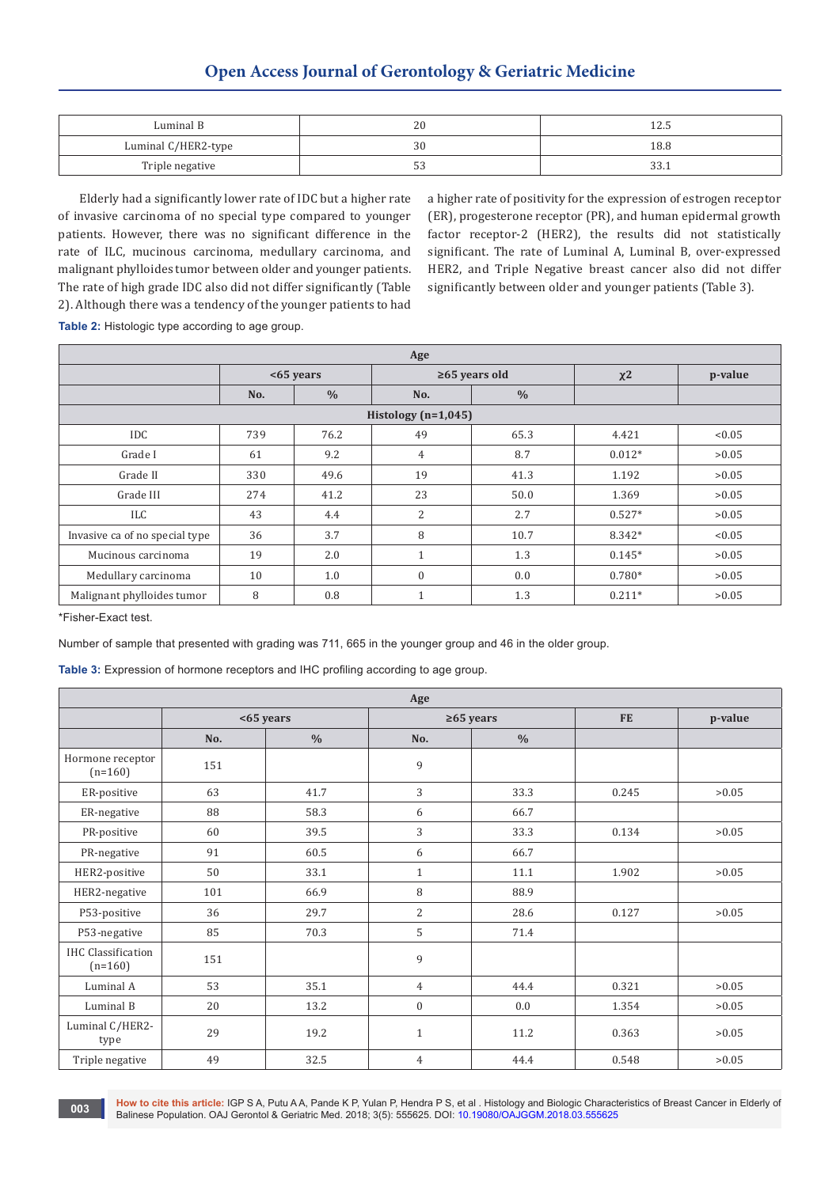# **Open Access Journal of Gerontology & Geriatric Medicine**

| Luminal B           | 20 | ل د که له |
|---------------------|----|-----------|
| Luminal C/HER2-type |    | 18.8      |
| Triple negative     | ັ  |           |

Elderly had a significantly lower rate of IDC but a higher rate of invasive carcinoma of no special type compared to younger patients. However, there was no significant difference in the rate of ILC, mucinous carcinoma, medullary carcinoma, and malignant phylloides tumor between older and younger patients. The rate of high grade IDC also did not differ significantly (Table 2). Although there was a tendency of the younger patients to had

a higher rate of positivity for the expression of estrogen receptor (ER), progesterone receptor (PR), and human epidermal growth factor receptor-2 (HER2), the results did not statistically significant. The rate of Luminal A, Luminal B, over-expressed HER2, and Triple Negative breast cancer also did not differ significantly between older and younger patients (Table 3).

**Table 2:** Histologic type according to age group.

| Age                            |             |               |                     |               |          |         |
|--------------------------------|-------------|---------------|---------------------|---------------|----------|---------|
|                                | $<65$ years |               | $\geq 65$ years old |               | $x^2$    | p-value |
|                                | No.         | $\frac{0}{0}$ | No.                 | $\frac{0}{0}$ |          |         |
| Histology $(n=1,045)$          |             |               |                     |               |          |         |
| <b>IDC</b>                     | 739         | 76.2          | 49                  | 65.3          | 4.421    | < 0.05  |
| Grade I                        | 61          | 9.2           | $\overline{4}$      | 8.7           | $0.012*$ | >0.05   |
| Grade II                       | 330         | 49.6          | 19                  | 41.3          | 1.192    | >0.05   |
| Grade III                      | 274         | 41.2          | 23                  | 50.0          | 1.369    | >0.05   |
| ILC                            | 43          | 4.4           | $\overline{2}$      | 2.7           | $0.527*$ | >0.05   |
| Invasive ca of no special type | 36          | 3.7           | 8                   | 10.7          | 8.342*   | < 0.05  |
| Mucinous carcinoma             | 19          | 2.0           | 1                   | 1.3           | $0.145*$ | >0.05   |
| Medullary carcinoma            | 10          | 1.0           | $\theta$            | 0.0           | $0.780*$ | >0.05   |
| Malignant phylloides tumor     | 8           | 0.8           |                     | 1.3           | $0.211*$ | >0.05   |

\*Fisher-Exact test.

Number of sample that presented with grading was 711, 665 in the younger group and 46 in the older group.

**Table 3:** Expression of hormone receptors and IHC profiling according to age group.

| Age                                    |           |               |                  |               |           |         |
|----------------------------------------|-----------|---------------|------------------|---------------|-----------|---------|
|                                        | <65 years |               | $\geq 65$ years  |               | <b>FE</b> | p-value |
|                                        | No.       | $\frac{0}{0}$ | No.              | $\frac{0}{0}$ |           |         |
| Hormone receptor<br>$(n=160)$          | 151       |               | 9                |               |           |         |
| ER-positive                            | 63        | 41.7          | 3                | 33.3          | 0.245     | >0.05   |
| ER-negative                            | 88        | 58.3          | 6                | 66.7          |           |         |
| PR-positive                            | 60        | 39.5          | 3                | 33.3          | 0.134     | >0.05   |
| PR-negative                            | 91        | 60.5          | 6                | 66.7          |           |         |
| HER2-positive                          | 50        | 33.1          | $\mathbf{1}$     | 11.1          | 1.902     | >0.05   |
| HER2-negative                          | 101       | 66.9          | 8                | 88.9          |           |         |
| P53-positive                           | 36        | 29.7          | 2                | 28.6          | 0.127     | >0.05   |
| P53-negative                           | 85        | 70.3          | 5                | 71.4          |           |         |
| <b>IHC</b> Classification<br>$(n=160)$ | 151       |               | 9                |               |           |         |
| Luminal A                              | 53        | 35.1          | $\overline{4}$   | 44.4          | 0.321     | >0.05   |
| Luminal B                              | 20        | 13.2          | $\boldsymbol{0}$ | 0.0           | 1.354     | >0.05   |
| Luminal C/HER2-<br>type                | 29        | 19.2          | $\mathbf{1}$     | 11.2          | 0.363     | >0.05   |
| Triple negative                        | 49        | 32.5          | $\overline{4}$   | 44.4          | 0.548     | >0.05   |

**How to cite this article:** IGP S A, Putu A A, Pande K P, Yulan P, Hendra P S, et al . Histology and Biologic Characteristics of Breast Cancer in Elderly of **Balinese Population. OAJ Gerontol & Geriatric Med. 2018; 3(5): 555625. DOI: [10.19080/OAJGGM.2018.03.555625](http://dx.doi.org/10.19080/OAJGGM.2018.03.555625) <b>DOI:** 10.19080/OAJGGM.2018.03.555625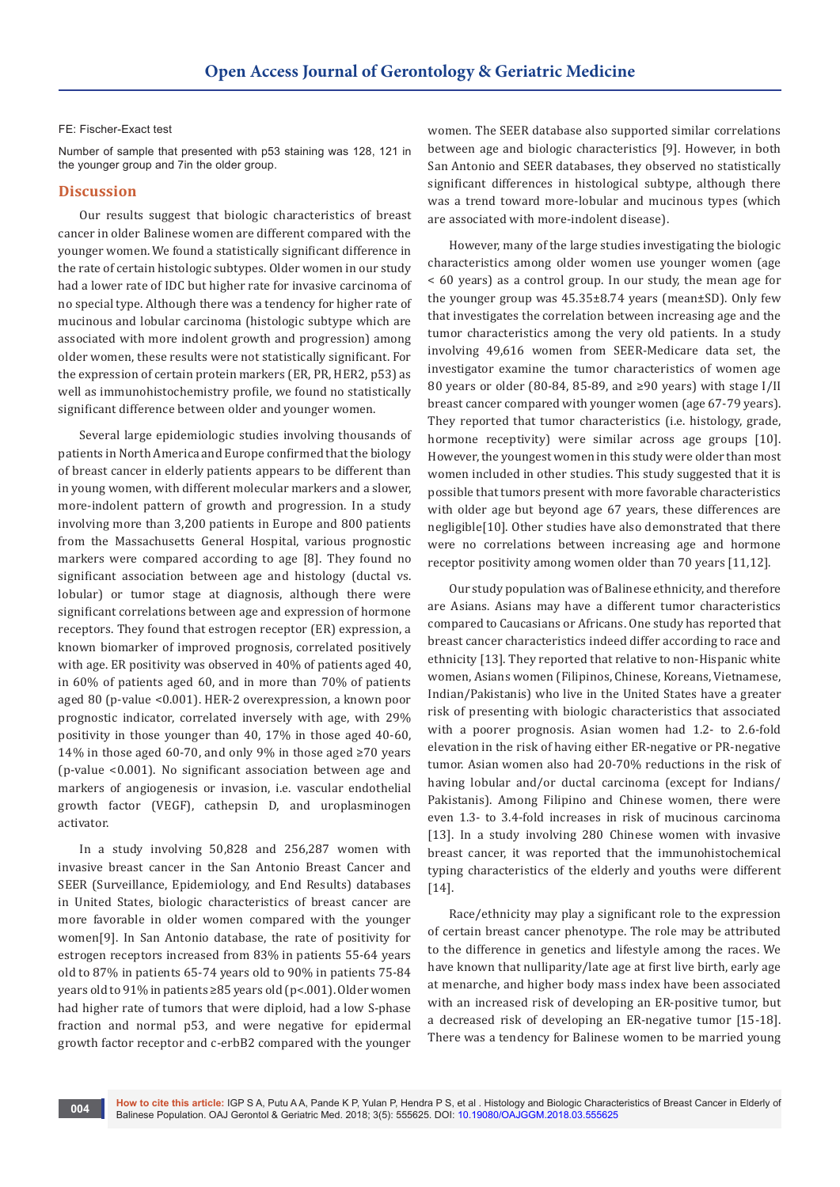#### FE: Fischer-Exact test

Number of sample that presented with p53 staining was 128, 121 in the younger group and 7in the older group.

### **Discussion**

Our results suggest that biologic characteristics of breast cancer in older Balinese women are different compared with the younger women. We found a statistically significant difference in the rate of certain histologic subtypes. Older women in our study had a lower rate of IDC but higher rate for invasive carcinoma of no special type. Although there was a tendency for higher rate of mucinous and lobular carcinoma (histologic subtype which are associated with more indolent growth and progression) among older women, these results were not statistically significant. For the expression of certain protein markers (ER, PR, HER2, p53) as well as immunohistochemistry profile, we found no statistically significant difference between older and younger women.

Several large epidemiologic studies involving thousands of patients in North America and Europe confirmed that the biology of breast cancer in elderly patients appears to be different than in young women, with different molecular markers and a slower, more-indolent pattern of growth and progression. In a study involving more than 3,200 patients in Europe and 800 patients from the Massachusetts General Hospital, various prognostic markers were compared according to age [8]. They found no significant association between age and histology (ductal vs. lobular) or tumor stage at diagnosis, although there were significant correlations between age and expression of hormone receptors. They found that estrogen receptor (ER) expression, a known biomarker of improved prognosis, correlated positively with age. ER positivity was observed in 40% of patients aged 40, in 60% of patients aged 60, and in more than 70% of patients aged 80 (p-value <0.001). HER-2 overexpression, a known poor prognostic indicator, correlated inversely with age, with 29% positivity in those younger than 40, 17% in those aged 40-60, 14% in those aged 60-70, and only 9% in those aged ≥70 years (p-value <0.001). No significant association between age and markers of angiogenesis or invasion, i.e. vascular endothelial growth factor (VEGF), cathepsin D, and uroplasminogen activator.

In a study involving 50,828 and 256,287 women with invasive breast cancer in the San Antonio Breast Cancer and SEER (Surveillance, Epidemiology, and End Results) databases in United States, biologic characteristics of breast cancer are more favorable in older women compared with the younger women[9]. In San Antonio database, the rate of positivity for estrogen receptors increased from 83% in patients 55-64 years old to 87% in patients 65-74 years old to 90% in patients 75-84 years old to 91% in patients ≥85 years old (p<.001). Older women had higher rate of tumors that were diploid, had a low S-phase fraction and normal p53, and were negative for epidermal growth factor receptor and c-erbB2 compared with the younger

women. The SEER database also supported similar correlations between age and biologic characteristics [9]. However, in both San Antonio and SEER databases, they observed no statistically significant differences in histological subtype, although there was a trend toward more-lobular and mucinous types (which are associated with more-indolent disease).

However, many of the large studies investigating the biologic characteristics among older women use younger women (age < 60 years) as a control group. In our study, the mean age for the younger group was 45.35±8.74 years (mean±SD). Only few that investigates the correlation between increasing age and the tumor characteristics among the very old patients. In a study involving 49,616 women from SEER-Medicare data set, the investigator examine the tumor characteristics of women age 80 years or older (80-84, 85-89, and ≥90 years) with stage I/II breast cancer compared with younger women (age 67-79 years). They reported that tumor characteristics (i.e. histology, grade, hormone receptivity) were similar across age groups [10]. However, the youngest women in this study were older than most women included in other studies. This study suggested that it is possible that tumors present with more favorable characteristics with older age but beyond age 67 years, these differences are negligible[10]. Other studies have also demonstrated that there were no correlations between increasing age and hormone receptor positivity among women older than 70 years [11,12].

Our study population was of Balinese ethnicity, and therefore are Asians. Asians may have a different tumor characteristics compared to Caucasians or Africans. One study has reported that breast cancer characteristics indeed differ according to race and ethnicity [13]. They reported that relative to non-Hispanic white women, Asians women (Filipinos, Chinese, Koreans, Vietnamese, Indian/Pakistanis) who live in the United States have a greater risk of presenting with biologic characteristics that associated with a poorer prognosis. Asian women had 1.2- to 2.6-fold elevation in the risk of having either ER-negative or PR-negative tumor. Asian women also had 20-70% reductions in the risk of having lobular and/or ductal carcinoma (except for Indians/ Pakistanis). Among Filipino and Chinese women, there were even 1.3- to 3.4-fold increases in risk of mucinous carcinoma [13]. In a study involving 280 Chinese women with invasive breast cancer, it was reported that the immunohistochemical typing characteristics of the elderly and youths were different [14].

Race/ethnicity may play a significant role to the expression of certain breast cancer phenotype. The role may be attributed to the difference in genetics and lifestyle among the races. We have known that nulliparity/late age at first live birth, early age at menarche, and higher body mass index have been associated with an increased risk of developing an ER-positive tumor, but a decreased risk of developing an ER-negative tumor [15-18]. There was a tendency for Balinese women to be married young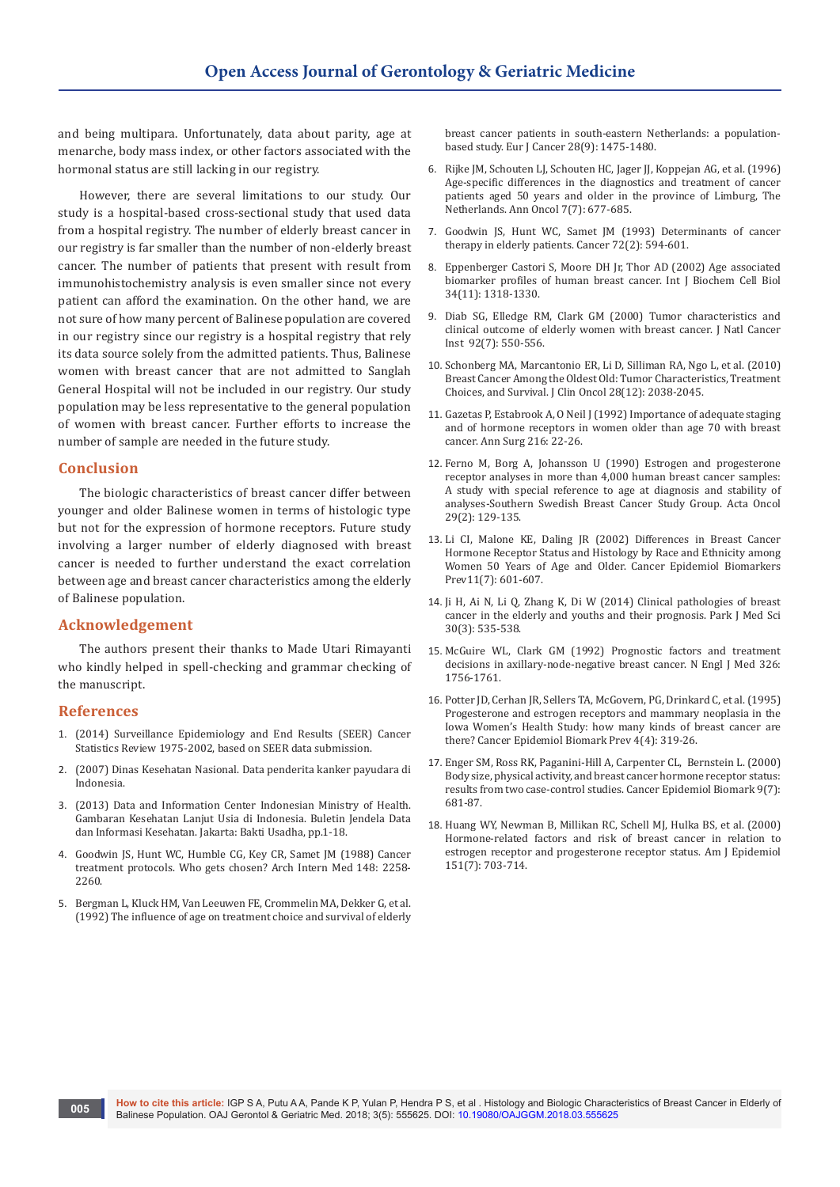and being multipara. Unfortunately, data about parity, age at menarche, body mass index, or other factors associated with the hormonal status are still lacking in our registry.

However, there are several limitations to our study. Our study is a hospital-based cross-sectional study that used data from a hospital registry. The number of elderly breast cancer in our registry is far smaller than the number of non-elderly breast cancer. The number of patients that present with result from immunohistochemistry analysis is even smaller since not every patient can afford the examination. On the other hand, we are not sure of how many percent of Balinese population are covered in our registry since our registry is a hospital registry that rely its data source solely from the admitted patients. Thus, Balinese women with breast cancer that are not admitted to Sanglah General Hospital will not be included in our registry. Our study population may be less representative to the general population of women with breast cancer. Further efforts to increase the number of sample are needed in the future study.

# **Conclusion**

The biologic characteristics of breast cancer differ between younger and older Balinese women in terms of histologic type but not for the expression of hormone receptors. Future study involving a larger number of elderly diagnosed with breast cancer is needed to further understand the exact correlation between age and breast cancer characteristics among the elderly of Balinese population.

# **Acknowledgement**

The authors present their thanks to Made Utari Rimayanti who kindly helped in spell-checking and grammar checking of the manuscript.

## **References**

- 1. [\(2014\) Surveillance Epidemiology and End Results \(SEER\) Cancer](http://seer.cancer.gov/csr/1975_2002/)  [Statistics Review 1975-2002, based on SEER data submission.](http://seer.cancer.gov/csr/1975_2002/)
- 2. [\(2007\) Dinas Kesehatan Nasional. Data penderita kanker payudara di](http://www.depkes.go.id/index.php/berita/press-release/1060-jikatidak-dikendalikan-26-juta-orang-di-dunia-menderita-kanker-.html.)  [Indonesia.](http://www.depkes.go.id/index.php/berita/press-release/1060-jikatidak-dikendalikan-26-juta-orang-di-dunia-menderita-kanker-.html.)
- 3. (2013) Data and Information Center Indonesian Ministry of Health. Gambaran Kesehatan Lanjut Usia di Indonesia. Buletin Jendela Data dan Informasi Kesehatan. Jakarta: Bakti Usadha, pp.1-18.
- 4. Goodwin JS, Hunt WC, Humble CG, Key CR, Samet JM (1988) Cancer treatment protocols. Who gets chosen? Arch Intern Med 148: 2258- 2260.
- 5. [Bergman L, Kluck HM, Van Leeuwen FE, Crommelin MA, Dekker G, et al.](https://www.ncbi.nlm.nih.gov/pubmed/1515270)  [\(1992\) The influence of age on treatment choice and survival of elderly](https://www.ncbi.nlm.nih.gov/pubmed/1515270)

[breast cancer patients in south-eastern Netherlands: a population](https://www.ncbi.nlm.nih.gov/pubmed/1515270)[based study. Eur J Cancer 28\(9\): 1475-1480.](https://www.ncbi.nlm.nih.gov/pubmed/1515270)

- 6. [Rijke JM, Schouten LJ, Schouten HC, Jager JJ, Koppejan AG, et al. \(1996\)](https://www.ncbi.nlm.nih.gov/pubmed/8905025)  [Age-specific differences in the diagnostics and treatment of cancer](https://www.ncbi.nlm.nih.gov/pubmed/8905025)  [patients aged 50 years and older in the province of Limburg, The](https://www.ncbi.nlm.nih.gov/pubmed/8905025)  [Netherlands. Ann Oncol 7\(7\): 677-685.](https://www.ncbi.nlm.nih.gov/pubmed/8905025)
- 7. [Goodwin JS, Hunt WC, Samet JM \(1993\) Determinants of cancer](https://www.ncbi.nlm.nih.gov/pubmed/8319193)  [therapy in elderly patients. Cancer 72\(2\): 594-601.](https://www.ncbi.nlm.nih.gov/pubmed/8319193)
- 8. [Eppenberger Castori S, Moore DH Jr, Thor AD \(2002\) Age associated](https://www.ncbi.nlm.nih.gov/pubmed/12200028)  [biomarker profiles of human breast cancer. Int J Biochem Cell Biol](https://www.ncbi.nlm.nih.gov/pubmed/12200028)  [34\(11\): 1318-1330.](https://www.ncbi.nlm.nih.gov/pubmed/12200028)
- 9. [Diab SG, Elledge RM, Clark GM \(2000\) Tumor characteristics and](https://www.ncbi.nlm.nih.gov/pubmed/10749910)  [clinical outcome of elderly women with breast cancer. J Natl Cancer](https://www.ncbi.nlm.nih.gov/pubmed/10749910)  [Inst 92\(7\): 550-556.](https://www.ncbi.nlm.nih.gov/pubmed/10749910)
- 10. [Schonberg MA, Marcantonio ER, Li D, Silliman RA, Ngo L, et al. \(2010\)](https://www.ncbi.nlm.nih.gov/pubmed/20308658)  [Breast Cancer Among the Oldest Old: Tumor Characteristics, Treatment](https://www.ncbi.nlm.nih.gov/pubmed/20308658)  [Choices, and Survival. J Clin Oncol 28\(12\): 2038-2045.](https://www.ncbi.nlm.nih.gov/pubmed/20308658)
- 11. Gazetas P, Estabrook A, O Neil J (1992) Importance of adequate staging and of hormone receptors in women older than age 70 with breast cancer. Ann Surg 216: 22-26.
- 12. Ferno M, Borg A, Johansson U (1990) Estrogen and progesterone receptor analyses in more than 4,000 human breast cancer samples: A study with special reference to age at diagnosis and stability of analyses-Southern Swedish Breast Cancer Study Group. Acta Oncol 29(2): 129-135.
- 13. [Li CI, Malone KE, Daling JR \(2002\) Differences in Breast Cancer](https://www.ncbi.nlm.nih.gov/pubmed/12101106)  [Hormone Receptor Status and Histology by Race and Ethnicity among](https://www.ncbi.nlm.nih.gov/pubmed/12101106)  [Women 50 Years of Age and Older. Cancer Epidemiol Biomarkers](https://www.ncbi.nlm.nih.gov/pubmed/12101106)  [Prev11\(7\): 601-607.](https://www.ncbi.nlm.nih.gov/pubmed/12101106)
- 14. [Ji H, Ai N, Li Q, Zhang K, Di W \(2014\) Clinical pathologies of breast](https://www.ncbi.nlm.nih.gov/pmc/articles/PMC4048501/)  [cancer in the elderly and youths and their prognosis. Park J Med Sci](https://www.ncbi.nlm.nih.gov/pmc/articles/PMC4048501/)  [30\(3\): 535-538.](https://www.ncbi.nlm.nih.gov/pmc/articles/PMC4048501/)
- 15. [McGuire WL, Clark GM \(1992\) Prognostic factors and treatment](http://www.nejm.org/doi/full/10.1056/NEJM199206253262607)  [decisions in axillary-node-negative breast cancer. N Engl J Med 326:](http://www.nejm.org/doi/full/10.1056/NEJM199206253262607) [1756-1761.](http://www.nejm.org/doi/full/10.1056/NEJM199206253262607)
- 16. [Potter JD, Cerhan JR, Sellers TA, McGovern, PG, Drinkard C, et al. \(1995\)](https://www.ncbi.nlm.nih.gov/pubmed/7655325)  [Progesterone and estrogen receptors and mammary neoplasia in the](https://www.ncbi.nlm.nih.gov/pubmed/7655325)  [Iowa Women's Health Study: how many kinds of breast cancer are](https://www.ncbi.nlm.nih.gov/pubmed/7655325)  [there? Cancer Epidemiol Biomark Prev 4\(4\): 319-26.](https://www.ncbi.nlm.nih.gov/pubmed/7655325)
- 17. [Enger SM, Ross RK, Paganini-Hill A, Carpenter CL, Bernstein L. \(2000\)](http://cebp.aacrjournals.org/content/9/7/681)  [Body size, physical activity, and breast cancer hormone receptor status:](http://cebp.aacrjournals.org/content/9/7/681)  [results from two case-control studies. Cancer Epidemiol Biomark 9\(7\):](http://cebp.aacrjournals.org/content/9/7/681)  [681-87.](http://cebp.aacrjournals.org/content/9/7/681)
- 18. [Huang WY, Newman B, Millikan RC, Schell MJ, Hulka BS, et al. \(2000\)](https://www.ncbi.nlm.nih.gov/pubmed/10752798)  [Hormone-related factors and risk of breast cancer in relation to](https://www.ncbi.nlm.nih.gov/pubmed/10752798)  [estrogen receptor and progesterone receptor status. Am J Epidemiol](https://www.ncbi.nlm.nih.gov/pubmed/10752798)  [151\(7\): 703-714.](https://www.ncbi.nlm.nih.gov/pubmed/10752798)